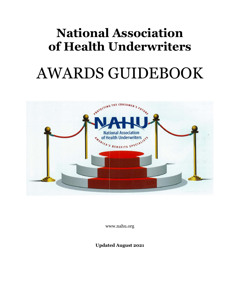# **National Association of Health Underwriters** AWARDS GUIDEBOOK



[www.nahu.org](http://www.nahu.org/)

**Updated August 2021**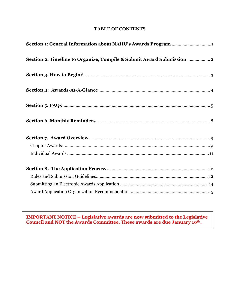## **TABLE OF CONTENTS**

| Section 2: Timeline to Organize, Compile & Submit Award Submission  2 |
|-----------------------------------------------------------------------|
|                                                                       |
|                                                                       |
|                                                                       |
|                                                                       |
|                                                                       |
|                                                                       |
|                                                                       |
|                                                                       |
|                                                                       |
|                                                                       |
|                                                                       |

**IMPORTANT NOTICE – Legislative awards are now submitted to the Legislative Council and NOT the Awards Committee. These awards are due January 10th.**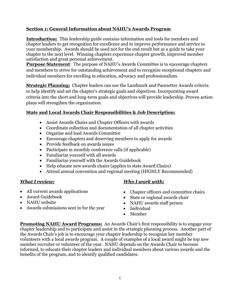# **Section 1: General Information about NAHU's Awards Program**

**Introduction:** This leadership guide contains information and tools for members and chapter leaders to get recognition for excellence and to improve performance and service to your membership. Awards should be used not for the end result but as a guide to take your chapter to the next level. Winning chapters experience chapter growth, improved member satisfaction and great personal achievement.

**Purpose Statement**: The purpose of NAHU's Awards Committee is to encourage chapters and members to strive for outstanding achievement and to recognize exceptional chapters and individual members for excelling in education, advocacy and professionalism.

**Strategic Planning:** Chapter leaders can use the Landmark and Pacesetter Awards criteria to help identify and set the chapter's strategic goals and objectives. Incorporating award criteria into the short and long-term goals and objectives will provide leadership. Proven action plans will strengthen the organization.

## **State and Local Awards Chair Responsibilities & Job Description:**

- Assist Awards Chairs and Chapter Officers with awards
- Coordinate collection and documentation of all chapter activities
- Organize and lead Awards Committee
- Encourage chapters and deserving members to apply for awards
- Provide feedback on awards issues
- Participate in monthly conference calls (if applicable)
- Familiarize yourself with all awards
- Familiarize yourself with the Awards Guidebook
- Help educate new awards chairs (applies to state Award Chairs)
- Attend annual convention and regional meeting (HIGHLY Recommended)

## *What I review:*

- All current awards applications
- Award Guidebook
- NAHU website
- Awards submissions sent in for the year

## *Who I work with:*

- Chapter officers and committee chairs
- State or regional awards chair
- NAHU awards staff person
- Individual
- Member

**Promoting NAHU Award Programs:** An Awards Chair's first responsibility is to engage your chapter leadership and to participate and assist in the strategic planning process. Another part of the Awards Chair's job is to encourage your chapter leadership to recognize key member volunteers with a local awards program. A couple of examples of a local award might be top new member recruiter or volunteer of the year. NAHU depends on the Awards Chair to become informed, to educate their chapter leaders and individual members about various awards and the benefits of the program, and to identify qualified candidates.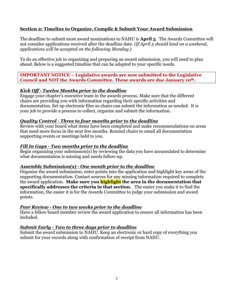## **Section 2: Timeline to Organize, Compile & Submit Your Award Submission**

The deadline to submit most award nominations to NAHU is **April 5**. The Awards Committee will not consider applications received after the deadline date. *(If April 5 should land on a weekend, applications will be accepted on the following Monday.)*

To do an effective job in organizing and preparing an award submission, you will need to plan ahead. Below is a suggested timeline that can be adapted to your specific needs.

**IMPORTANT NOTICE – Legislative awards are now submitted to the Legislative Council and NOT the Awards Committee. These awards are due January 10th.** 

## *Kick Off - Twelve Months prior to the deadline*

Engage your chapter's executive team in the awards process. Make sure that the different chairs are providing you with information regarding their specific activities and documentation. Set up electronic files so chairs can submit the information as needed. It is your job to provide a process to collect, organize and submit the information.

## *Quality Control - Three to four months prior to the deadline*

Review with your board what items have been completed and make recommendations on areas that need more focus in the next few months. Remind chairs to email all documentation supporting events or meetings held to you.

#### *Fill In Gaps - Two months prior to the deadline*

Begin organizing your submission(s) by reviewing the data you have accumulated to determine what documentation is missing and needs follow-up.

#### *Assemble Submission(s) - One month prior to the deadline*

Organize the award submission, enter points into the application and highlight key areas of the supporting documentation. Contact sources for any missing information required to complete the award application. **Make sure you highlight the area in the documentation that specifically addresses the criteria in that section.** The easier you make it to find the information, the easier it is for the Awards Committee to judge your submission and award points.

## *Peer Review - One to two weeks prior to the deadline*

Have a fellow board member review the award application to ensure all information has been included.

## *Submit Early - Two to three days prior to deadline*

Submit the award submission to NAHU. Keep an electronic or hard copy of everything you submit for your records along with confirmation of receipt from NAHU.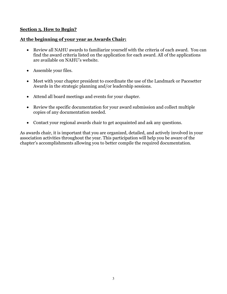## **Section 3. How to Begin?**

#### **At the beginning of your year as Awards Chair:**

- Review all NAHU awards to familiarize yourself with the criteria of each award. You can find the award criteria listed on the application for each award. All of the applications are available on NAHU's website.
- Assemble your files.
- Meet with your chapter president to coordinate the use of the Landmark or Pacesetter Awards in the strategic planning and/or leadership sessions.
- Attend all board meetings and events for your chapter.
- Review the specific documentation for your award submission and collect multiple copies of any documentation needed.
- Contact your regional awards chair to get acquainted and ask any questions.

As awards chair, it is important that you are organized, detailed, and actively involved in your association activities throughout the year. This participation will help you be aware of the chapter's accomplishments allowing you to better compile the required documentation.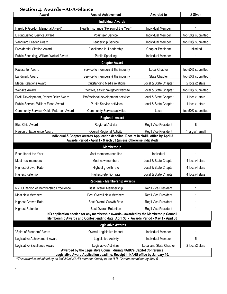# **Section 4: Awards –At-A-Glance**

| Award                                                                                                                                                                       | <b>Area of Achievement</b>            | <b>Awarded to</b>        | # Given           |  |
|-----------------------------------------------------------------------------------------------------------------------------------------------------------------------------|---------------------------------------|--------------------------|-------------------|--|
| <b>Individual Awards</b>                                                                                                                                                    |                                       |                          |                   |  |
| Harold R Gordon Memorial Award*                                                                                                                                             | Health Insurance "Person of the Year" | <b>Individual Member</b> |                   |  |
| Distinguished Service Award                                                                                                                                                 | <b>Volunteer Service</b>              | <b>Individual Member</b> | top 50% submitted |  |
| Vanguard Leader Award                                                                                                                                                       | Leadership Service                    | <b>Individual Member</b> | top 50% submitted |  |
| <b>Presidential Citation Award</b>                                                                                                                                          | Excellence in Leadership              | <b>Chapter President</b> | unlimited         |  |
| Public Speaking, William Wetzel Award                                                                                                                                       | <b>Public Speaking</b>                | <b>Individual Member</b> |                   |  |
|                                                                                                                                                                             | <b>Chapter Award</b>                  |                          |                   |  |
| Pacesetter Award                                                                                                                                                            | Service to members & the industry     | Local Chapter            | top 50% submitted |  |
| Landmark Award                                                                                                                                                              | Service to members & the industry     | State Chapter            | top 50% submitted |  |
| <b>Media Relations Award</b>                                                                                                                                                | <b>Outstanding Media relations</b>    | Local & State Chapter    | 2 local/2 state   |  |
| <b>Website Award</b>                                                                                                                                                        | Effective, easily navigated website   | Local & State Chapter    | top 50% submitted |  |
| Prof'l Development, Robert Osler Award                                                                                                                                      | Professional development activities   | Local & State Chapter    | 1 local/1 state   |  |
| Public Service, William Flood Award                                                                                                                                         | <b>Public Service activities</b>      | Local & State Chapter    | 1 local/1 state   |  |
| Community Service, Ouida Peterson Award                                                                                                                                     | <b>Community Service activities</b>   | Local                    | top 50% submitted |  |
|                                                                                                                                                                             | <b>Regional Award</b>                 |                          |                   |  |
| <b>Blue Chip Award</b>                                                                                                                                                      | <b>Regional Activity</b>              | Reg'l Vice President     | 8                 |  |
| Region of Excellence Award                                                                                                                                                  | Overall Regional Activity             | Reg'l Vice President     | 1 large/1 small   |  |
| Individual & Chapter Awards Application deadline: Receipt in NAHU office by April 5<br>Awards Period - April 1 - March 31 (unless otherwise indicated)                      |                                       |                          |                   |  |
|                                                                                                                                                                             | <b>Membership</b>                     |                          |                   |  |
| Recruiter of the Year                                                                                                                                                       | Most members recruited                | Individual               |                   |  |
| Most new members                                                                                                                                                            | Most new members                      | Local & State Chapter    | 4 local/4 state   |  |
| <b>Highest Growth Rate</b>                                                                                                                                                  | Highest growth rate                   | Local & State Chapter    | 4 local/4 state   |  |
| <b>Highest Retention</b>                                                                                                                                                    | Highest retention rate                | Local & State Chapter    | 4 local/4 state   |  |
| <b>Regional - Membership Awards</b>                                                                                                                                         |                                       |                          |                   |  |
| NAHU Region of Membership Excellence                                                                                                                                        | <b>Best Overall Membership</b>        | Reg'l Vice President     |                   |  |
| <b>Most New Members</b>                                                                                                                                                     | <b>Best Overall New Members</b>       | Reg'l Vice President     |                   |  |
| <b>Highest Growth Rate</b>                                                                                                                                                  | <b>Best Overall Growth Rate</b>       | Reg'l Vice President     | 1                 |  |
| <b>Highest Retention</b>                                                                                                                                                    | <b>Best Overall Retention</b>         | Reg'l Vice President     |                   |  |
| NO application needed for any membership awards - awarded by the Membership Council                                                                                         |                                       |                          |                   |  |
| Membership Awards and Contest ending date: April 30 - Awards Period - May 1 - April 30                                                                                      |                                       |                          |                   |  |
| "Spirit of Freedom" Award                                                                                                                                                   | <b>Legislative Awards</b>             | <b>Individual Member</b> |                   |  |
|                                                                                                                                                                             | Overall Legislative Impact            |                          | 5                 |  |
| Legislative Achievement Award                                                                                                                                               | Legislative Activity                  | <b>Individual Member</b> |                   |  |
| 2 local/2 state<br>Legislative Excellence Award<br>Legislative Activities<br>Local and State Chapter<br>Awarded by the Legislative Council during NAHU's Capitol Conference |                                       |                          |                   |  |
| Legislative Award Application deadline: Receipt in NAHU office by January 10.                                                                                               |                                       |                          |                   |  |

*\*\*This award is submitted by an individual NAHU member directly to the H.R. Gordon committee by May 5.*

*.*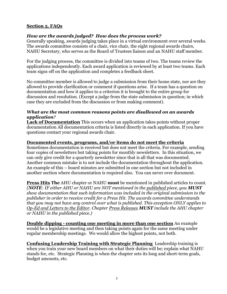## **Section 5. FAQs**

## *How are the awards judged? How does the process work?*

Generally speaking, awards judging takes place in a virtual environment over several weeks. The awards committee consists of a chair, vice chair, the eight regional awards chairs, NAHU Secretary, who serves as the Board of Trustees liaison and an NAHU staff member.

For the judging process, the committee is divided into teams of two. The teams review the applications independently. Each award application is reviewed by at least two teams. Each team signs off on the application and completes a feedback sheet.

No committee member is allowed to judge a submission from their home state, nor are they allowed to provide clarification or comment if questions arise. If a team has a question on documentation and how it applies to a criterion it is brought to the entire group for discussion and resolution. (Except a judge from the state submission in question; in which case they are excluded from the discussion or from making comment).

#### *What are the most common reasons points are disallowed on an awards application?*

**Lack of Documentation** This occurs when an application takes points without proper documentation All documentation criteria is listed directly in each application. If you have questions contact your regional awards chair.

#### **Documented events, programs, and/or items do not meet the criteria**

Sometimes documentation is received but does not meet the criteria. For example, sending four copies of newsletters but taking points for monthly newsletters. In this situation, we can only give credit for a quarterly newsletter since that is all that was documented. Another common mistake is to not include the documentation throughout the application. An example of this – board minutes are submitted in one section but not included in another section where documentation is required also. You can never over document.

**Press Hits The** AHU chapter or NAHU **must** be mentioned in published articles to count. *(NOTE: IF either AHU or NAHU are NOT mentioned in the published piece, you MUST show documentation that such information was included in the original submission to the publisher in order to receive credit for a Press Hit. The awards committee understands that you may not have any control over what is published. This exception ONLY applies to Op-Ed and Letters to the Editor. Chapter Press Releases MUST include the AHU chapter or NAHU in the published piece.)*

**Double dipping - counting one meeting in more than one section** An example would be a legislative meeting and then taking points again for the same meeting under regular membership meetings. We would allow the highest points, not both.

**Confusing Leadership Training with Strategic Planning** Leadership training is when you train your new board members on what their duties will be; explain what NAHU stands for, etc. Strategic Planning is when the chapter sets its long and short-term goals, budget amounts, etc.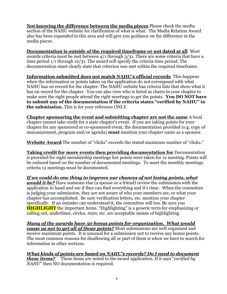**Not knowing the difference between the media pieces** Please check the media section of the NAHU website for clarification of what is what. The Media Relation Award also has been expanded in this area and will give you guidance on the difference in the media pieces.

**Documentation is outside of the required timeframe or not dated at all** Most awards criteria must be met between 4/1 through 3/31. There are some criteria that have a time period 1/1 through 12/31. The award will specify the criteria time period. The documentation must clearly state that criterion was met within the required timeframe.

**Information submitted does not match NAHU's official records** This happens when the information or points taken on the application do not correspond with what NAHU has on record for the chapter. The NAHU website has criteria lists that show what it has on record for the chapter. You can also view who is listed as chairs in your chapter to make sure the right people attend the right meetings to get the points. **You DO NOT have to submit any of the documentation if the criteria states "verified by NAHU" in the submission.** This is for your reference ONLY.

**Chapter sponsoring the event and submitting chapter are not the same** A local chapter cannot take credit for a state chapter's event. If you are taking points for your chapter for any sponsored or co-sponsored event, the documentation provided (e.g. copy of announcement, program and/or agenda) **must** mention your chapter name as a sponsor.

**Website Award** The number of "clicks" exceeds the stated maximum number of "clicks."

**Taking credit for more events then providing documentation for** Documentation is provided for eight membership meetings but points were taken for 12 meeting. Points will be reduced based on the number of documented meetings. To meet the monthly meetings criteria 12 meetings must be documented.

*If we could do one thing to improve our chances of not losing points, what would it be?* Have someone else (a spouse or a friend) review the submission with the application in hand and see if they can find everything and it's clear. When the committee is judging your submission, they are not aware of who your members are, or what your chapter has accomplished. Be sure verification letters, etc. mention your chapter specifically. If an outsider can understand it, the committee will too. Be sure you **HIGHLIGHT** the important items. "Highlighting" is a generic term for emphasizing or calling out, underlines, circles, stars, etc. are acceptable means of highlighting.

*Many of the awards have 50 bonus points for organization. What would cause us not to get all of those points?* Most submissions are well organized and receive maximum points. It is unusual for a submission not to receive any bonus points. The most common reasons for disallowing all or part of them is when we have to search for information in other sections.

*What kinds of points are based on NAHU's records? Do I need to document these items?* These items are noted in the award application. If it says "*verified by NAHU*" then NO documentation is required.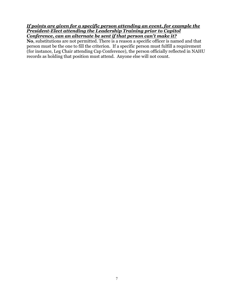#### *If points are given for a specific person attending an event, for example the President-Elect attending the Leadership Training prior to Capitol Conference, can an alternate be sent if that person can't make it?*

**No**, substitutions are not permitted. There is a reason a specific officer is named and that person must be the one to fill the criterion. If a specific person must fulfill a requirement (for instance, Leg Chair attending Cap Conference), the person officially reflected in NAHU records as holding that position must attend. Anyone else will not count.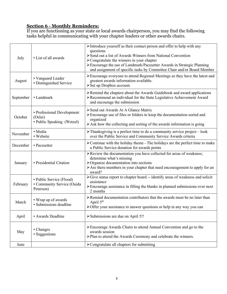#### **Section 6 - Monthly Reminders:**

If you are functioning as your state or local awards chairperson, you may find the following tasks helpful in communicating with your chapter leaders or other awards chairs.

| July      | • List of all awards                                                | > Introduce yourself as their contact person and offer to help with any<br>questions<br>> Send out a list of Awards Winners from National Convention<br>> Congratulate the winners in your chapter<br>> Encourage the use of Landmark/Pacesetter Awards in Strategic Planning<br>and assignment of specific tasks by Committee Chair and/or Board Member |  |
|-----------|---------------------------------------------------------------------|----------------------------------------------------------------------------------------------------------------------------------------------------------------------------------------------------------------------------------------------------------------------------------------------------------------------------------------------------------|--|
| August    | • Vanguard Leader<br>• Distinguished Service                        | > Encourage everyone to attend Regional Meetings so they have the latest and<br>greatest awards information available.<br>> Set up Dropbox account.                                                                                                                                                                                                      |  |
| September | • Landmark                                                          | $\triangleright$ Remind the chapters about the Awards Guidebook and award applications<br>>Recommend an individual for the State Legislative Achievement Award<br>and encourage the submission                                                                                                                                                           |  |
| October   | • Professional Development<br>(Osler)<br>• Public Speaking (Wetzel) | Send out Awards At A Glance Matrix<br>> Encourage use of files or folders to keep the documentation sorted and<br>organized<br>$\triangleright$ Ask how the collecting and sorting of the awards information is going                                                                                                                                    |  |
| November  | · Media<br>• Website                                                | $\triangleright$ Thanksgiving is a perfect time to do a community service project – look<br>over the Public Service and Community Service Awards criteria                                                                                                                                                                                                |  |
| December  | • Pacesetter                                                        | > Continue with the holiday theme - The holidays are the perfect time to make<br>a Public Service donation for awards points                                                                                                                                                                                                                             |  |
| January   | • Presidential Citation                                             | > Review the documentation you have collected for areas of weakness;<br>determine what's missing<br>$\triangleright$ Organize documentation into sections<br>$\triangleright$ Are there members in your chapter that need encouragement to apply for an<br>award?                                                                                        |  |
| February  | • Public Service (Flood)<br>• Community Service (Ouida<br>Peterson) | > Give status report to chapter board -- identify areas of weakness and solicit<br>assistance<br>$\triangleright$ Encourage assistance in filling the blanks in planned submissions over next<br>2 months                                                                                                                                                |  |
| March     | • Wrap up of awards<br>· Submissions deadline                       | $\triangleright$ Remind documentation contributors that the awards must be no later than<br>April 5 <sup>th</sup><br>> Offer your assistance to answer questions or help in any way you can                                                                                                                                                              |  |
| April     | • Awards Deadline                                                   | > Submissions are due on April 5!!                                                                                                                                                                                                                                                                                                                       |  |
| May       | • Changes<br>• Suggestions                                          | $\triangleright$ Encourage Awards Chairs to attend Annual Convention and go to the<br>awards session<br>> Plan to attend the Awards Ceremony and celebrate the winners.                                                                                                                                                                                  |  |
| June      |                                                                     | $\triangleright$ Congratulate all chapters for submitting                                                                                                                                                                                                                                                                                                |  |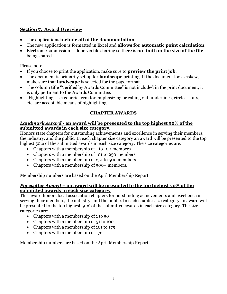# **Section 7. Award Overview**

- The applications **include all of the documentation**
- The new application is formatted in Excel and **allows for automatic point calculation**.
- Electronic submission is done via file sharing so there is **no limit on the size of the file** being shared.

Please note

- If you choose to print the application, make sure to **preview the print job**.
- The document is primarily set up for **landscape** printing. If the document looks askew, make sure that **landscape** is selected for the page format.
- The column title "Verified by Awards Committee" is not included in the print document, it is only pertinent to the Awards Committee.
- "Highlighting" is a generic term for emphasizing or calling out, underlines, circles, stars, etc. are acceptable means of highlighting.

# **CHAPTER AWARDS**

#### *Landmark Award -* **an award will be presented to the top highest 50% of the submitted awards in each size category.**

Honors state chapters for outstanding achievements and excellence in serving their members, the industry, and the public. In each chapter size category an award will be presented to the top highest 50% of the submitted awards in each size category. The size categories are:

- Chapters with a membership of 1 to 100 members
- Chapters with a membership of 101 to 250 members
- Chapters with a membership of 251 to 500 members
- Chapters with a membership of 500+ members.

Membership numbers are based on the April Membership Report.

#### *Pacesetter Award –* **an award will be presented to the top highest 50% of the submitted awards in each size category.**

This award honors local association chapters for outstanding achievements and excellence in serving their members, the industry, and the public. In each chapter size category an award will be presented to the top highest 50% of the submitted awards in each size category. The size categories are:

- Chapters with a membership of 1 to 50
- Chapters with a membership of 51 to 100
- Chapters with a membership of 101 to 175
- Chapters with a membership of 176+

Membership numbers are based on the April Membership Report.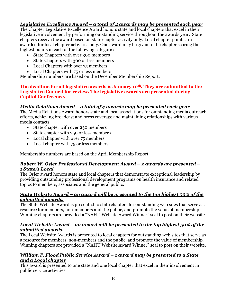# *Legislative Excellence Award – a total of 4 awards may be presented each year*

The Chapter Legislative Excellence Award honors state and local chapters that excel in their legislative involvement by performing outstanding service throughout the awards year. State chapters receive the award based on state chapter activity only. Local chapter points are awarded for local chapter activities only. One award may be given to the chapter scoring the highest points in each of the following categories:

- State Chapters with over 300 members
- State Chapters with 300 or less members
- Local Chapters with over 75 members
- Local Chapters with 75 or less members

Membership numbers are based on the December Membership Report.

## **The deadline for all legislative awards is January 10th. They are submitted to the Legislative Council for review. The legislative awards are presented during Capitol Conference.**

## *Media Relations Award – a total of 4 awards may be presented each year*

The Media Relations Award honors state and local associations for outstanding media outreach efforts, achieving broadcast and press coverage and maintaining relationships with various media contacts.

- State chapter with over 250 members
- State chapter with 250 or less members
- Local chapter with over 75 members
- Local chapter with 75 or less members.

Membership numbers are based on the April Membership Report.

## *Robert W. Osler Professional Development Award – 2 awards are presented – 1 State/1 Local*

The Osler award honors state and local chapters that demonstrate exceptional leadership by providing outstanding professional development programs on health insurance and related topics to members, associates and the general public.

## *State Website Award – an award will be presented to the top highest 50% of the submitted awards.*

The State Website Award is presented to state chapters for outstanding web sites that serve as a resource for members, non-members and the public, and promote the value of membership. Winning chapters are provided a "NAHU Website Award Winner" seal to post on their website.

## *Local Website Award – an award will be presented to the top highest 50% of the submitted awards.*

The Local Website Awards is presented to local chapters for outstanding web sites that serve as a resource for members, non-members and the public, and promote the value of membership. Winning chapters are provided a "NAHU Website Award Winner" seal to post on their website.

## *William F. Flood Public Service Award – 1 award may be presented to a State and a Local chapter*

This award is presented to one state and one local chapter that excel in their involvement in public service activities.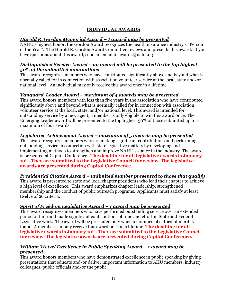# **INDIVIDUAL AWARDS**

## *Harold R. Gordon Memorial Award – 1 award may be presented*

NAHU's highest honor, the Gordon Award recognizes the health insurance industry's "Person of the Year". The Harold R. Gordon Award Committee reviews and presents this award. If you have questions about this award, send an email to awards@nahu.org.

#### *Distinguished Service Award – an award will be presented to the top highest 50% of the submitted nominations*

This award recognizes members who have contributed significantly above and beyond what is normally called for in connection with association volunteer service at the local, state and/or national level. An individual may only receive this award once in a lifetime.

## *Vanguard Leader Award – maximum of 4 awards may be presented*

This award honors members with less than five years in the association who have contributed significantly above and beyond what is normally called for in connection with association volunteer service at the local, state, and/or national level. This award is intended for outstanding service by a new agent, a member is only eligible to win this award once. The Emerging Leader award will be presented to the top highest 50% of those submitted up to a maximum of four awards.

## *Legislative Achievement Award – maximum of 5 awards may be presented*

This award recognizes members who are making significant contributions and performing outstanding service in connection with state legislative matters by developing and implementing methods to strengthen and improve NAHU's stance in the industry. The award is presented at Capitol Conference. **The deadline for all legislative awards is January 10th. They are submitted to the Legislative Council for review. The legislative awards are presented during Capitol Conference.** 

## *Presidential Citation Award – unlimited number presented to those that qualify*

This award is presented to state and local chapter presidents who lead their chapter to achieve a high level of excellence. This award emphasizes chapter leadership, strengthened membership and the conduct of public outreach programs. Applicants must satisfy at least twelve of 26 criteria.

## *Spirit of Freedom Legislative Award – 1 award may be presented*

This award recognizes members who have performed outstanding service over an extended period of time and made significant contributions of time and effort in State and Federal Legislative work. The award will be presented only when a nominee of sufficient merit is found. A member can only receive this award once in a lifetime. **The deadline for all**  legislative awards is January 10<sup>th</sup>. They are submitted to the Legislative Council **for review. The legislative awards are presented during Capitol Conference.** 

## *William Wetzel Excellence in Public Speaking Award – 1 award may be presented*

This award honors members who have demonstrated excellence in public speaking by giving presentations that educate and/or deliver important information to AHU members, industry colleagues, public officials and/or the public.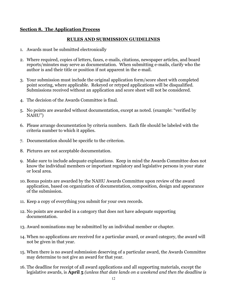#### **Section 8. The Application Process**

#### **RULES AND SUBMISSION GUIDELINES**

- 1. Awards must be submitted electronically
- 2. Where required, copies of letters, faxes, e-mails, citations, newspaper articles, and board reports/minutes may serve as documentation. When submitting e-mails, clarify who the author is and their title or position if not apparent in the e-mail.
- 3. Your submission must include the original application form/score sheet with completed point scoring, where applicable. Rekeyed or retyped applications will be disqualified. Submissions received without an application and score sheet will not be considered.
- 4. The decision of the Awards Committee is final.
- 5. No points are awarded without documentation, except as noted. (example: "verified by NAHU")
- 6. Please arrange documentation by criteria numbers. Each file should be labeled with the criteria number to which it applies.
- 7. Documentation should be specific to the criterion.
- 8. Pictures are not acceptable documentation.
- 9. Make sure to include adequate explanations. Keep in mind the Awards Committee does not know the individual members or important regulatory and legislative persons in your state or local area.
- 10. Bonus points are awarded by the NAHU Awards Committee upon review of the award application, based on organization of documentation, composition, design and appearance of the submission.
- 11. Keep a copy of everything you submit for your own records.
- 12. No points are awarded in a category that does not have adequate supporting documentation.
- 13. Award nominations may be submitted by an individual member or chapter.
- 14. When no applications are received for a particular award, or award category, the award will not be given in that year.
- 15. When there is no award submission deserving of a particular award, the Awards Committee may determine to not give an award for that year.
- 16. The deadline for receipt of all award applications and all supporting materials, except the legislative awards, is **April 5** *(unless that date lands on a weekend and then the deadline is*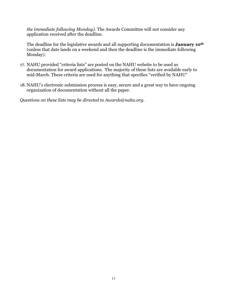*the immediate following Monday)*. The Awards Committee will not consider any application received after the deadline.

The deadline for the legislative awards and all supporting documentation is **January 10th** (unless that date lands on a weekend and then the deadline is the immediate following Monday).

- 17. NAHU provided "criteria lists" are posted on the NAHU website to be used as documentation for award applications. The majority of these lists are available early to mid-March. These criteria are used for anything that specifies "verified by NAHU"
- 18. NAHU's electronic submission process is easy, secure and a great way to have ongoing organization of documentation without all the paper.

*Questions on these lists may be directed to Awards@nahu.org.*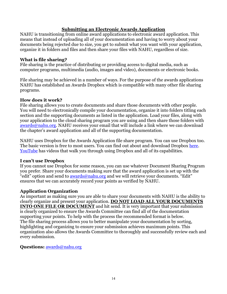## **Submitting an Electronic Awards Application**

NAHU is transitioning from online award applications to electronic award application. This means that instead of uploading all of your documentation and having to worry about your documents being rejected due to size, you get to submit what you want with your application, organize it in folders and files and then share your files with NAHU, regardless of size.

#### **What is file sharing?**

File sharing is the practice of distributing or providing access to digital media, such as computer programs, multimedia (audio, images and video), documents or electronic books.

File sharing may be achieved in a number of ways. For the purpose of the awards applications NAHU has established an Awards Dropbox which is compatible with many other file sharing programs.

#### **How does it work?**

File sharing allows you to create documents and share those documents with other people. You will need to electronically compile your documentation, organize it into folders titling each section and the supporting documents as listed in the application. Load your files, along with your application to the cloud sharing program you are using and then share those folders with [awards@nahu.org.](mailto:awards@nahu.org) NAHU receives your email that will include a link where we can download the chapter's award application and all of the supporting documentation.

NAHU uses Dropbox for the Awards Application file share program. You can use Dropbox too. The basic version is free to most users. You can find out about and download Dropbox [here.](https://www.dropbox.com/?landing=dbv2) [YouTube](https://www.youtube.com/user/dropbox) has videos that walk you through using Dropbox and all of its capabilities.

## **I can't use Dropbox**

If you cannot use Dropbox for some reason, you can use whatever Document Sharing Program you prefer. Share your documents making sure that the award application is set up with the "edit" option and send to [awards@nahu.org](mailto:awards@nahu.org) and we will retrieve your documents. "Edit" ensures that we can accurately record your points as verified by NAHU.

## **Application Organization**

As important as making sure you are able to share your documents with NAHU is the ability to clearly organize and present your application. **DO NOT LOAD ALL YOUR DOCUMENTS INTO ONE FILE OR DOCUMENT** and hit send. It is very important that your submission is clearly organized to ensure the Awards Committee can find all of the documentation supporting your points. To help with the process the recommended format is below. The file sharing process allows you to better manipulate your documentation by sorting, highlighting and organizing to ensure your submission achieves maximum points. This organization also allows the Awards Committee to thoroughly and successfully review each and every submission.

## **Questions:** [awards@nahu.org](mailto:awards@nahu.org)